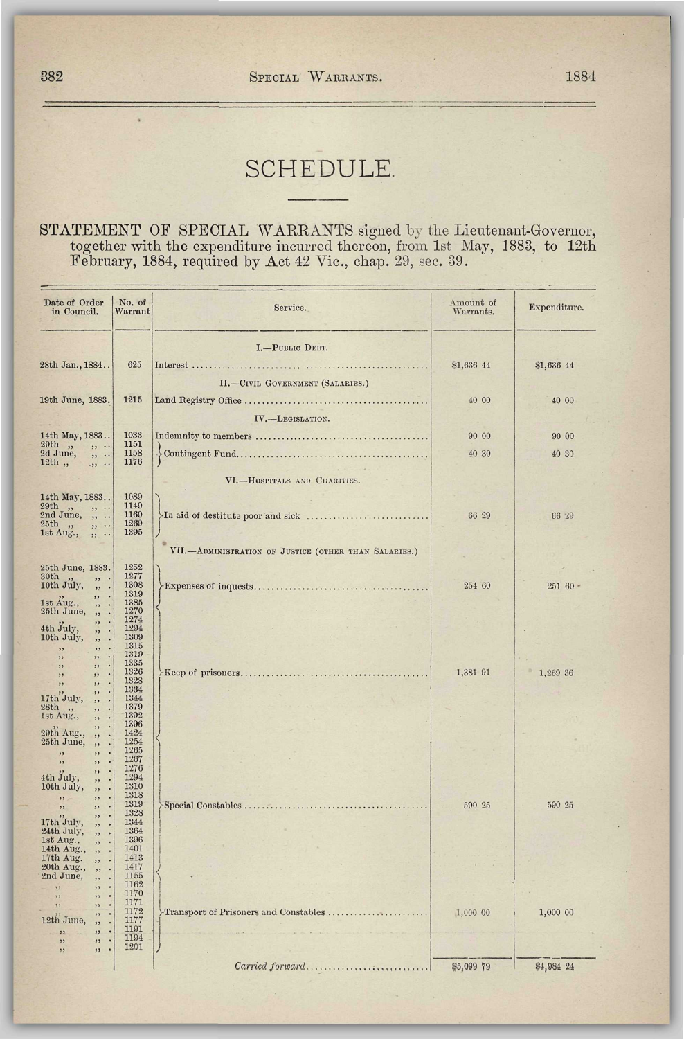## SCHEDULE.

## STATEMENT OF SPECIAL WARRANTS signed by the Lieutenant-Governor, together with the expenditure incurred thereon, from 1st May, 1883, to 12th February, 1884, required by Act 42 Vic, chap. 29, sec. 39.

| Date of Order<br>in Council.                                                                                                                                    | No. of<br>Warrant                                            | Service.                                              | Amount of<br>Warrants. | Expenditure. |
|-----------------------------------------------------------------------------------------------------------------------------------------------------------------|--------------------------------------------------------------|-------------------------------------------------------|------------------------|--------------|
| 28th Jan., 1884                                                                                                                                                 | 625                                                          | I.-PUBLIC DEBT.                                       | \$1,636 44             | \$1,636 44   |
| 19th June, 1883.                                                                                                                                                | 1215                                                         | II.-CIVIL GOVERNMENT (SALARIES.)                      | 40 00                  | 40 00        |
|                                                                                                                                                                 |                                                              | IV.-LEGISLATION.                                      |                        |              |
| 14th May, 1883                                                                                                                                                  | 1033                                                         |                                                       | 90 00                  | 90 00        |
| 29th,<br>, , .<br>2d June,<br>, 1, 1, 1<br>$12th$ ,<br>                                                                                                         | 1151<br>1158<br>1176                                         |                                                       | 40 30                  | 40 30        |
|                                                                                                                                                                 |                                                              | VI.-HOSPITALS AND CHARITIES.                          |                        |              |
| 14th May, 1883<br>$29th$ ,, $2nd$ June,<br>$, \ldots$<br>, 1, 1, 1<br>25th<br>$, \ldots$<br>, 1, 1                                                              | 1089<br>1149<br>1169<br>1269<br>1395                         |                                                       | 66 29                  | 66 29        |
|                                                                                                                                                                 |                                                              | VII.-ADMINISTRATION OF JUSTICE (OTHER THAN SALARIES.) |                        |              |
| 25th June, 1883.<br>30th<br>,,<br>10th July,<br>$^{\prime\prime}$<br>,,<br>$\cdot$                                                                              | 1252<br>1277<br>1308<br>1319                                 |                                                       | 254 60                 | $25160 -$    |
| 1st Aug.,<br>,,<br>25th June,<br>$\cdot$<br>,<br>,,<br>4th July,<br>$\cdot$<br>,,<br>10th July,<br>$\cdot$<br>,,<br>$\cdot$<br>,<br>,,<br>, ,<br>$\cdot$<br>, , | 1385<br>1270<br>1274<br>1294<br>1309<br>1315<br>1319         |                                                       |                        |              |
| $\cdot$<br>, ,<br>,,<br>, ,<br>$\cdot$<br>, ,<br>, ,<br>$, \,$<br>,,<br>17th July,<br>$\cdot$<br>,,<br>28th<br>$\bullet$<br>,,<br>1st Aug.,                     | 1335<br>1326<br>1328<br>1334<br>1344<br>1379<br>1392         |                                                       | 1,381 91               | 1,269 36     |
| $\bullet$<br>,,<br>$\bullet$<br>,,<br>29th Aug.,<br>,,<br>25th June,<br>,,<br>$\cdot$<br>,,<br>, ,<br>,,<br>,,<br>4th July,<br>,,<br>10th July,                 | 1396<br>1424<br>1254<br>1265<br>1267<br>1276<br>1294<br>1310 |                                                       |                        |              |
| ,,<br>$\cdot$<br>, ,<br>,,<br>$\cdot$<br>,,<br>$\cdot$<br>,<br>17th July,<br>$\bullet$<br>,,<br>24th July,<br>$\cdot$<br>,,                                     | 1318<br>1319<br>1328<br>1344<br>1364                         |                                                       | 590 25                 | 590 25       |
| 1st Aug.,<br>$\cdot$<br>,,<br>14th Aug.,<br>,<br>÷<br>17th Aug.<br>,,<br>20th Aug.,<br>,<br>2nd June,<br>,,<br>22<br>, ,<br>$\overline{\phantom{1}}$<br>, ,     | 1396<br>1401<br>1413<br>1417<br>1155<br>1162<br>1170         |                                                       |                        |              |
| ,,<br>,,<br>,,<br>12th June,<br>,<br>, 1, 2<br>$\cdot$<br>22<br>, 1<br>$\ddot{\phantom{0}}$<br>11                                                               | 1171<br>1172<br>1177<br>1191<br>1194                         | Transport of Prisoners and Constables                 | 1,000 00               | 1,000 00     |
| ,,<br>$\cdot$<br>, 1                                                                                                                                            | 1201                                                         | Carried forward                                       | \$5,099 79             | \$4,984 24   |